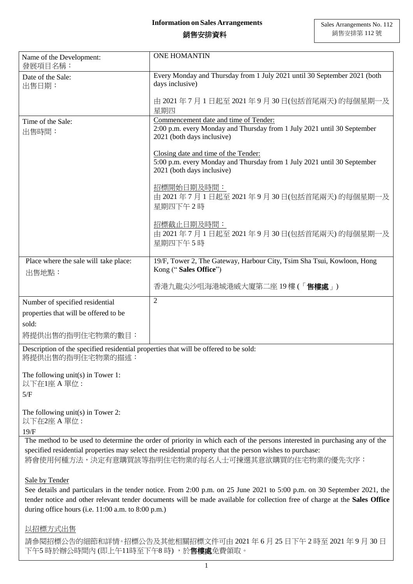## **Information on Sales Arrangements**

## 銷售安排資料

| Name of the Development:<br>發展項目名稱:                                                                                        | <b>ONE HOMANTIN</b>                                                                                                                                         |
|----------------------------------------------------------------------------------------------------------------------------|-------------------------------------------------------------------------------------------------------------------------------------------------------------|
| Date of the Sale:<br>出售日期:                                                                                                 | Every Monday and Thursday from 1 July 2021 until 30 September 2021 (both<br>days inclusive)                                                                 |
|                                                                                                                            | 由 2021 年 7 月 1 日起至 2021 年 9 月 30 日(包括首尾兩天) 的每個星期一及<br>星期四                                                                                                   |
| Time of the Sale:<br>出售時間:                                                                                                 | Commencement date and time of Tender:<br>2:00 p.m. every Monday and Thursday from 1 July 2021 until 30 September<br>2021 (both days inclusive)              |
|                                                                                                                            | Closing date and time of the Tender:<br>5:00 p.m. every Monday and Thursday from 1 July 2021 until 30 September<br>2021 (both days inclusive)               |
|                                                                                                                            | 招標開始日期及時間:<br>由 2021年7月1日起至 2021年9月 30日(包括首尾兩天)的每個星期一及<br>星期四下午2時                                                                                           |
|                                                                                                                            | 招標截止日期及時間:<br>由 2021年7月1日起至 2021年9月30日(包括首尾兩天)的每個星期一及<br>星期四下午5時                                                                                            |
| Place where the sale will take place:<br>出售地點:                                                                             | 19/F, Tower 2, The Gateway, Harbour City, Tsim Sha Tsui, Kowloon, Hong<br>Kong ("Sales Office")                                                             |
|                                                                                                                            | 香港九龍尖沙咀海港城港威大廈第二座 19 樓 (「 <b>售樓處</b> 」)                                                                                                                     |
| Number of specified residential                                                                                            | $\overline{2}$                                                                                                                                              |
| properties that will be offered to be                                                                                      |                                                                                                                                                             |
| sold:                                                                                                                      |                                                                                                                                                             |
| 將提供出售的指明住宅物業的數目:                                                                                                           |                                                                                                                                                             |
| Description of the specified residential properties that will be offered to be sold:<br>將提供出售的指明住宅物業的描述:                   |                                                                                                                                                             |
| The following unit(s) in Tower 1:<br>以下在1座 A 單位:                                                                           |                                                                                                                                                             |
| 5/F                                                                                                                        |                                                                                                                                                             |
| The following unit(s) in Tower 2:<br>以下在2座 A 單位:                                                                           |                                                                                                                                                             |
| 19/F                                                                                                                       | The method to be used to determine the order of priority in which each of the persons interested in purchasing any of the                                   |
|                                                                                                                            | specified residential properties may select the residential property that the person wishes to purchase:<br>將會使用何種方法,決定有意購買該等指明住宅物業的每名人士可揀選其意欲購買的住宅物業的優先次序: |
|                                                                                                                            |                                                                                                                                                             |
| Sale by Tender                                                                                                             | See details and particulars in the tender notice. From 2:00 p.m. on 25 June 2021 to 5:00 p.m. on 30 September 2021, the                                     |
| tender notice and other relevant tender documents will be made available for collection free of charge at the Sales Office |                                                                                                                                                             |
| during office hours (i.e. 11:00 a.m. to 8:00 p.m.)                                                                         |                                                                                                                                                             |
| 以招標方式出售                                                                                                                    |                                                                                                                                                             |
| 下午5 時於辦公時間內 (即上午11時至下午8 時) ,於 <b>售樓處</b> 免費領取。                                                                             | 請參閱招標公告的細節和詳情。招標公告及其他相關招標文件可由 2021年6月 25日下午 2時至 2021年9月 30日                                                                                                 |